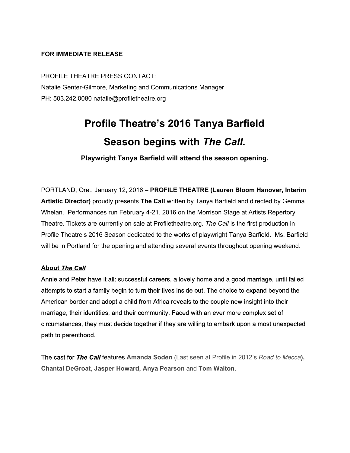#### **FOR IMMEDIATE RELEASE**

PROFILE THEATRE PRESS CONTACT: Natalie Genter-Gilmore, Marketing and Communications Manager PH: 503.242.0080 natalie@profiletheatre.org

# **Profile Theatre's 2016 Tanya Barfield Season begins with** *The Call.*

**Playwright Tanya Barfield will attend the season opening.**

PORTLAND, Ore., January 12, 2016 – **PROFILE THEATRE (Lauren Bloom Hanover, Interim Artistic Director)**proudly presents **The Call** written by Tanya Barfield and directed by Gemma Whelan. Performances run February 421, 2016 on the Morrison Stage at Artists Repertory Theatre. Tickets are currently on sale at Profiletheatre.org. *The Call* is the first production in Profile Theatre's 2016 Season dedicated to the works of playwright Tanya Barfield. Ms. Barfield will be in Portland for the opening and attending several events throughout opening weekend.

#### **About** *The Call*

Annie and Peter have it all: successful careers, a lovely home and a good marriage, until failed attempts to start a family begin to turn their lives inside out. The choice to expand beyond the American border and adopt a child from Africa reveals to the couple new insight into their marriage, their identities, and their community. Faced with an ever more complex set of circumstances, they must decide together if they are willing to embark upon a most unexpected path to parenthood.

The cast for *The Call*features **Amanda Soden** (Last seen at Profile in 2012's *Road to Mecca***), Chantal DeGroat, Jasper Howard, Anya Pearson**and **Tom Walton.**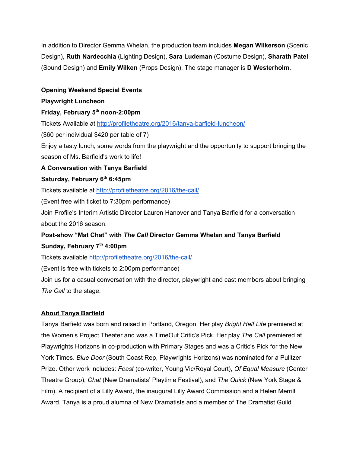In addition to Director Gemma Whelan, the production team includes **Megan Wilkerson**(Scenic Design), **Ruth Nardecchia**(Lighting Design), **Sara Ludeman**(Costume Design), **Sharath Patel** (Sound Design) and **Emily Wilken**(Props Design). The stage manager is **D Westerholm**.

## **Opening Weekend Special Events**

#### **Playwright Luncheon**

## **Friday, February 5thnoon2:00pm**

Tickets Available at http://profiletheatre.org/2016/tanya-barfield-luncheon/

(\$60 per individual \$420 per table of 7)

Enjoy a tasty lunch, some words from the playwright and the opportunity to support bringing the season of Ms. Barfield's work to life!

## **A Conversation with Tanya Barfield**

## **Saturday, February 6th6:45pm**

Tickets available at http://profiletheatre.org/2016/the-call/

(Event free with ticket to 7:30pm performance)

Join Profile's Interim Artistic Director Lauren Hanover and Tanya Barfield for a conversation about the 2016 season.

## **Postshow "Mat Chat" with** *The Call***Director Gemma Whelan and Tanya Barfield Sunday, February 7th4:00pm**

Tickets available http://profiletheatre.org/2016/the-call/

(Event is free with tickets to 2:00pm performance)

Join us for a casual conversation with the director, playwright and cast members about bringing *The Call* to the stage.

## **About Tanya Barfield**

Tanya Barfield was born and raised in Portland, Oregon. Her play *Bright Half Life* premiered at the Women's Project Theater and was a TimeOut Critic's Pick. Her play *The Call* premiered at Playwrights Horizons in co-production with Primary Stages and was a Critic's Pick for the New York Times. *Blue Door* (South Coast Rep, Playwrights Horizons) was nominated for a Pulitzer Prize. Other work includes: *Feast* (cowriter, Young Vic/Royal Court), *Of Equal Measure* (Center Theatre Group), *Chat* (New Dramatists' Playtime Festival), and *The Quick* (New York Stage & Film). A recipient of a Lilly Award, the inaugural Lilly Award Commission and a Helen Merrill Award, Tanya is a proud alumna of New Dramatists and a member of The Dramatist Guild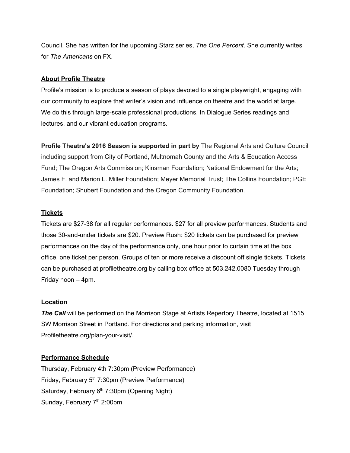Council. She has written for the upcoming Starz series, *The One Percent.* She currently writes for *The Americans* on FX.

#### **About Profile Theatre**

Profile's mission is to produce a season of plays devoted to a single playwright, engaging with our community to explore that writer's vision and influence on theatre and the world at large. We do this through large-scale professional productions, In Dialogue Series readings and lectures, and our vibrant education programs.

**Profile Theatre's 2016 Season is supported in part by**The Regional Arts and Culture Council including support from City of Portland, Multnomah County and the Arts & Education Access Fund; The Oregon Arts Commission; Kinsman Foundation; National Endowment for the Arts; James F. and Marion L. Miller Foundation; Meyer Memorial Trust; The Collins Foundation; PGE Foundation; Shubert Foundation and the Oregon Community Foundation.

#### **Tickets**

Tickets are \$2738 for all regular performances. \$27 for all preview performances. Students and those 30-and-under tickets are \$20. Preview Rush: \$20 tickets can be purchased for preview performances on the day of the performance only, one hour prior to curtain time at the box office. one ticket per person. Groups of ten or more receive a discount off single tickets. Tickets can be purchased at profiletheatre.org by calling box office at 503.242.0080 Tuesday through Friday noon – 4pm.

#### **Location**

**The Call** will be performed on the Morrison Stage at Artists Repertory Theatre, located at 1515 SW Morrison Street in Portland. For directions and parking information, visit Profiletheatre.org/plan-your-visit/.

#### **Performance Schedule**

Thursday, February 4th 7:30pm (Preview Performance) Friday, February 5<sup>th</sup> 7:30pm (Preview Performance) Saturday, February 6<sup>th</sup> 7:30pm (Opening Night) Sunday, February 7<sup>th</sup> 2:00pm